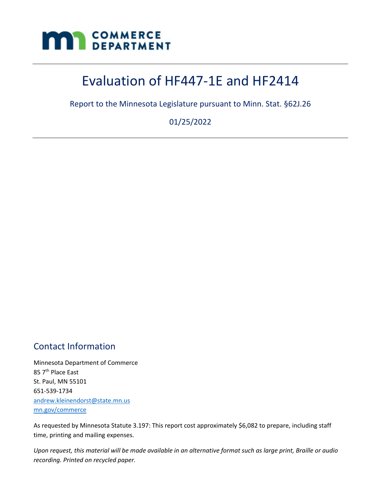

# Evaluation of HF447-1E and HF2414

Report to the Minnesota Legislature pursuant to Minn. Stat. §62J.26

01/25/2022

# <span id="page-0-0"></span>Contact Information

Minnesota Department of Commerce 85 7<sup>th</sup> Place East St. Paul, MN 55101 651-539-1734 [andrew.kleinendorst@state.mn.us](mailto:andrew.kleinendorst@state.mn.us) [mn.gov/commerce](http://)

As requested by Minnesota Statute 3.197: This report cost approximately \$6,082 to prepare, including staff time, printing and mailing expenses.

*Upon request, this material will be made available in an alternative format such as large print, Braille or audio recording. Printed on recycled paper.*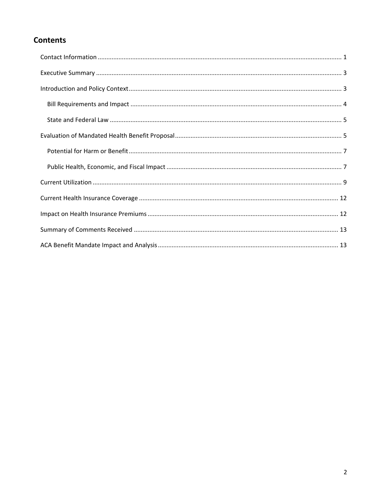# **Contents**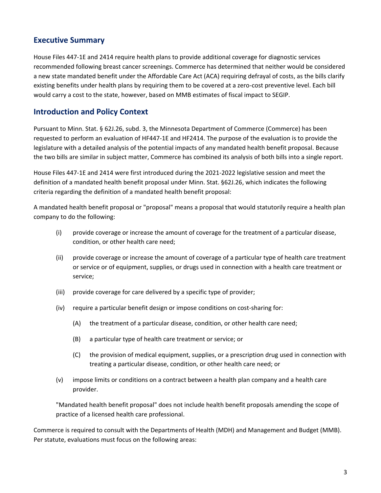### <span id="page-2-0"></span>**Executive Summary**

House Files 447-1E and 2414 require health plans to provide additional coverage for diagnostic services recommended following breast cancer screenings. Commerce has determined that neither would be considered a new state mandated benefit under the Affordable Care Act (ACA) requiring defrayal of costs, as the bills clarify existing benefits under health plans by requiring them to be covered at a zero-cost preventive level. Each bill would carry a cost to the state, however, based on MMB estimates of fiscal impact to SEGIP.

#### <span id="page-2-1"></span>**Introduction and Policy Context**

Pursuant to Minn. Stat. § 62J.26, subd. 3, the Minnesota Department of Commerce (Commerce) has been requested to perform an evaluation of HF447-1E and HF2414. The purpose of the evaluation is to provide the legislature with a detailed analysis of the potential impacts of any mandated health benefit proposal. Because the two bills are similar in subject matter, Commerce has combined its analysis of both bills into a single report.

House Files 447-1E and 2414 were first introduced during the 2021-2022 legislative session and meet the definition of a mandated health benefit proposal under Minn. Stat. §62J.26, which indicates the following criteria regarding the definition of a mandated health benefit proposal:

A mandated health benefit proposal or "proposal" means a proposal that would statutorily require a health plan company to do the following:

- (i) provide coverage or increase the amount of coverage for the treatment of a particular disease, condition, or other health care need;
- (ii) provide coverage or increase the amount of coverage of a particular type of health care treatment or service or of equipment, supplies, or drugs used in connection with a health care treatment or service;
- (iii) provide coverage for care delivered by a specific type of provider;
- (iv) require a particular benefit design or impose conditions on cost-sharing for:
	- (A) the treatment of a particular disease, condition, or other health care need;
	- (B) a particular type of health care treatment or service; or
	- (C) the provision of medical equipment, supplies, or a prescription drug used in connection with treating a particular disease, condition, or other health care need; or
- (v) impose limits or conditions on a contract between a health plan company and a health care provider.

"Mandated health benefit proposal" does not include health benefit proposals amending the scope of practice of a licensed health care professional.

Commerce is required to consult with the Departments of Health (MDH) and Management and Budget (MMB). Per statute, evaluations must focus on the following areas: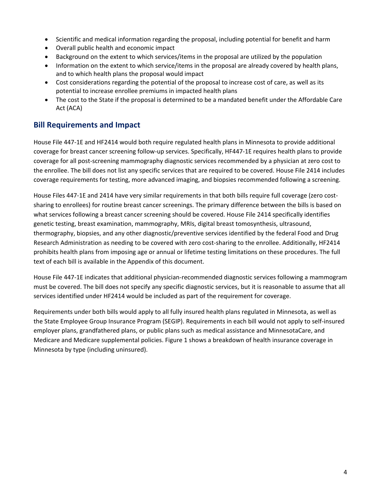- Scientific and medical information regarding the proposal, including potential for benefit and harm
- Overall public health and economic impact
- Background on the extent to which services/items in the proposal are utilized by the population
- Information on the extent to which service/items in the proposal are already covered by health plans, and to which health plans the proposal would impact
- Cost considerations regarding the potential of the proposal to increase cost of care, as well as its potential to increase enrollee premiums in impacted health plans
- The cost to the State if the proposal is determined to be a mandated benefit under the Affordable Care Act (ACA)

### <span id="page-3-0"></span>**Bill Requirements and Impact**

House File 447-1E and HF2414 would both require regulated health plans in Minnesota to provide additional coverage for breast cancer screening follow-up services. Specifically, HF447-1E requires health plans to provide coverage for all post-screening mammography diagnostic services recommended by a physician at zero cost to the enrollee. The bill does not list any specific services that are required to be covered. House File 2414 includes coverage requirements for testing, more advanced imaging, and biopsies recommended following a screening.

House Files 447-1E and 2414 have very similar requirements in that both bills require full coverage (zero costsharing to enrollees) for routine breast cancer screenings. The primary difference between the bills is based on what services following a breast cancer screening should be covered. House File 2414 specifically identifies genetic testing, breast examination, mammography, MRIs, digital breast tomosynthesis, ultrasound, thermography, biopsies, and any other diagnostic/preventive services identified by the federal Food and Drug Research Administration as needing to be covered with zero cost-sharing to the enrollee. Additionally, HF2414 prohibits health plans from imposing age or annual or lifetime testing limitations on these procedures. The full text of each bill is available in the Appendix of this document.

House File 447-1E indicates that additional physician-recommended diagnostic services following a mammogram must be covered. The bill does not specify any specific diagnostic services, but it is reasonable to assume that all services identified under HF2414 would be included as part of the requirement for coverage.

Requirements under both bills would apply to all fully insured health plans regulated in Minnesota, as well as the State Employee Group Insurance Program (SEGIP). Requirements in each bill would not apply to self-insured employer plans, grandfathered plans, or public plans such as medical assistance and MinnesotaCare, and Medicare and Medicare supplemental policies. Figure 1 shows a breakdown of health insurance coverage in Minnesota by type (including uninsured).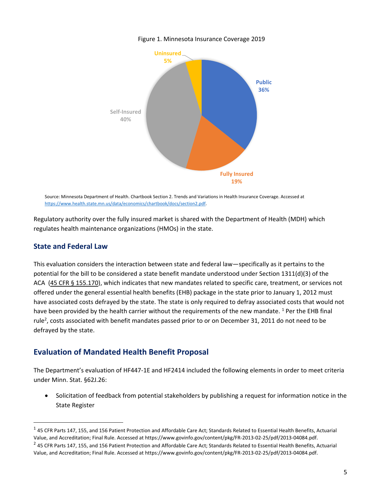

Figure 1. Minnesota Insurance Coverage 2019

Source: Minnesota Department of Health. Chartbook Section 2. Trends and Variations in Health Insurance Coverage. Accessed at [https://www.health.state.mn.us/data/economics/chartbook/docs/section2.pdf.](https://www.health.state.mn.us/data/economics/chartbook/docs/section2.pdf) 

Regulatory authority over the fully insured market is shared with the Department of Health (MDH) which regulates health maintenance organizations (HMOs) in the state.

#### <span id="page-4-0"></span>**State and Federal Law**

This evaluation considers the interaction between state and federal law—specifically as it pertains to the potential for the bill to be considered a state benefit mandate understood under Section 1311(d)(3) of the ACA [\(45 CFR § 155.170\)](https://www.law.cornell.edu/cfr/text/45/155.170), which indicates that new mandates related to specific care, treatment, or services not offered under the general essential health benefits (EHB) package in the state prior to January 1, 2012 must have associated costs defrayed by the state. The state is only required to defray associated costs that would not have been provided by the health carrier without the requirements of the new mandate. <sup>1</sup> Per the EHB final rule<sup>2</sup>, costs associated with benefit mandates passed prior to or on December 31, 2011 do not need to be defrayed by the state.

### <span id="page-4-1"></span>**Evaluation of Mandated Health Benefit Proposal**

The Department's evaluation of HF447-1E and HF2414 included the following elements in order to meet criteria under Minn. Stat. §62J.26:

• Solicitation of feedback from potential stakeholders by publishing a request for information notice in the State Register

 $^1$  45 CFR Parts 147, 155, and 156 Patient Protection and Affordable Care Act; Standards Related to Essential Health Benefits, Actuarial Value, and Accreditation; Final Rule. Accessed at https://www.govinfo.gov/content/pkg/FR-2013-02-25/pdf/2013-04084.pdf.

 $^2$  45 CFR Parts 147, 155, and 156 Patient Protection and Affordable Care Act; Standards Related to Essential Health Benefits, Actuarial Value, and Accreditation; Final Rule. Accessed at https://www.govinfo.gov/content/pkg/FR-2013-02-25/pdf/2013-04084.pdf.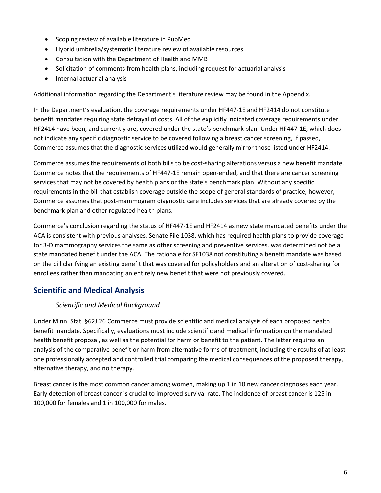- Scoping review of available literature in PubMed
- Hybrid umbrella/systematic literature review of available resources
- Consultation with the Department of Health and MMB
- Solicitation of comments from health plans, including request for actuarial analysis
- Internal actuarial analysis

Additional information regarding the Department's literature review may be found in the Appendix.

In the Department's evaluation, the coverage requirements under HF447-1E and HF2414 do not constitute benefit mandates requiring state defrayal of costs. All of the explicitly indicated coverage requirements under HF2414 have been, and currently are, covered under the state's benchmark plan. Under HF447-1E, which does not indicate any specific diagnostic service to be covered following a breast cancer screening, If passed, Commerce assumes that the diagnostic services utilized would generally mirror those listed under HF2414.

Commerce assumes the requirements of both bills to be cost-sharing alterations versus a new benefit mandate. Commerce notes that the requirements of HF447-1E remain open-ended, and that there are cancer screening services that may not be covered by health plans or the state's benchmark plan. Without any specific requirements in the bill that establish coverage outside the scope of general standards of practice, however, Commerce assumes that post-mammogram diagnostic care includes services that are already covered by the benchmark plan and other regulated health plans.

Commerce's conclusion regarding the status of HF447-1E and HF2414 as new state mandated benefits under the ACA is consistent with previous analyses. Senate File 1038, which has required health plans to provide coverage for 3-D mammography services the same as other screening and preventive services, was determined not be a state mandated benefit under the ACA. The rationale for SF1038 not constituting a benefit mandate was based on the bill clarifying an existing benefit that was covered for policyholders and an alteration of cost-sharing for enrollees rather than mandating an entirely new benefit that were not previously covered.

### **Scientific and Medical Analysis**

#### *Scientific and Medical Background*

Under Minn. Stat. §62J.26 Commerce must provide scientific and medical analysis of each proposed health benefit mandate. Specifically, evaluations must include scientific and medical information on the mandated health benefit proposal, as well as the potential for harm or benefit to the patient. The latter requires an analysis of the comparative benefit or harm from alternative forms of treatment, including the results of at least one professionally accepted and controlled trial comparing the medical consequences of the proposed therapy, alternative therapy, and no therapy.

Breast cancer is the most common cancer among women, making up 1 in 10 new cancer diagnoses each year. Early detection of breast cancer is crucial to improved survival rate. The incidence of breast cancer is 125 in 100,000 for females and 1 in 100,000 for males.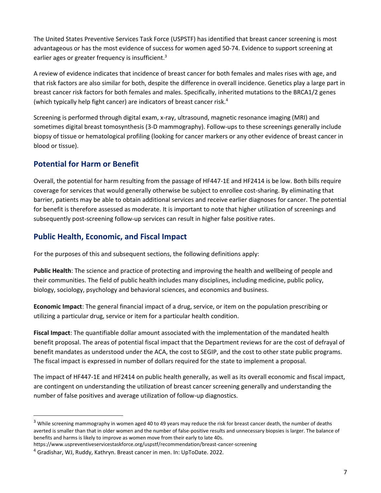The United States Preventive Services Task Force (USPSTF) has identified that breast cancer screening is most advantageous or has the most evidence of success for women aged 50-74. Evidence to support screening at earlier ages or greater frequency is insufficient.<sup>3</sup>

A review of evidence indicates that incidence of breast cancer for both females and males rises with age, and that risk factors are also similar for both, despite the difference in overall incidence. Genetics play a large part in breast cancer risk factors for both females and males. Specifically, inherited mutations to the BRCA1/2 genes (which typically help fight cancer) are indicators of breast cancer risk.<sup>4</sup>

Screening is performed through digital exam, x-ray, ultrasound, magnetic resonance imaging (MRI) and sometimes digital breast tomosynthesis (3-D mammography). Follow-ups to these screenings generally include biopsy of tissue or hematological profiling (looking for cancer markers or any other evidence of breast cancer in blood or tissue).

### <span id="page-6-0"></span>**Potential for Harm or Benefit**

Overall, the potential for harm resulting from the passage of HF447-1E and HF2414 is be low. Both bills require coverage for services that would generally otherwise be subject to enrollee cost-sharing. By eliminating that barrier, patients may be able to obtain additional services and receive earlier diagnoses for cancer. The potential for benefit is therefore assessed as moderate. It is important to note that higher utilization of screenings and subsequently post-screening follow-up services can result in higher false positive rates.

### <span id="page-6-1"></span>**Public Health, Economic, and Fiscal Impact**

For the purposes of this and subsequent sections, the following definitions apply:

**Public Health**: The science and practice of protecting and improving the health and wellbeing of people and their communities. The field of public health includes many disciplines, including medicine, public policy, biology, sociology, psychology and behavioral sciences, and economics and business.

**Economic Impact**: The general financial impact of a drug, service, or item on the population prescribing or utilizing a particular drug, service or item for a particular health condition.

**Fiscal Impact**: The quantifiable dollar amount associated with the implementation of the mandated health benefit proposal. The areas of potential fiscal impact that the Department reviews for are the cost of defrayal of benefit mandates as understood under the ACA, the cost to SEGIP, and the cost to other state public programs. The fiscal impact is expressed in number of dollars required for the state to implement a proposal.

The impact of HF447-1E and HF2414 on public health generally, as well as its overall economic and fiscal impact, are contingent on understanding the utilization of breast cancer screening generally and understanding the number of false positives and average utilization of follow-up diagnostics.

<sup>&</sup>lt;sup>3</sup> While screening mammography in women aged 40 to 49 years may reduce the risk for breast cancer death, the number of deaths averted is smaller than that in older women and the number of false-positive results and unnecessary biopsies is larger. The balance of benefits and harms is likely to improve as women move from their early to late 40s.

https://www.uspreventiveservicestaskforce.org/uspstf/recommendation/breast-cancer-screening

<sup>4</sup> Gradishar, WJ, Ruddy, Kathryn. Breast cancer in men. In: UpToDate. 2022.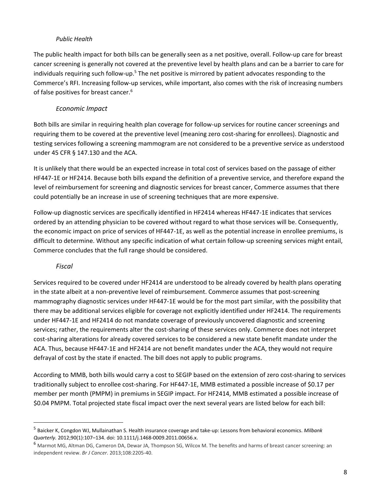#### *Public Health*

The public health impact for both bills can be generally seen as a net positive, overall. Follow-up care for breast cancer screening is generally not covered at the preventive level by health plans and can be a barrier to care for individuals requiring such follow-up.<sup>5</sup> The net positive is mirrored by patient advocates responding to the Commerce's RFI. Increasing follow-up services, while important, also comes with the risk of increasing numbers of false positives for breast cancer.<sup>6</sup>

#### *Economic Impact*

Both bills are similar in requiring health plan coverage for follow-up services for routine cancer screenings and requiring them to be covered at the preventive level (meaning zero cost-sharing for enrollees). Diagnostic and testing services following a screening mammogram are not considered to be a preventive service as understood under 45 CFR § 147.130 and the ACA.

It is unlikely that there would be an expected increase in total cost of services based on the passage of either HF447-1E or HF2414. Because both bills expand the definition of a preventive service, and therefore expand the level of reimbursement for screening and diagnostic services for breast cancer, Commerce assumes that there could potentially be an increase in use of screening techniques that are more expensive.

Follow-up diagnostic services are specifically identified in HF2414 whereas HF447-1E indicates that services ordered by an attending physician to be covered without regard to what those services will be. Consequently, the economic impact on price of services of HF447-1E, as well as the potential increase in enrollee premiums, is difficult to determine. Without any specific indication of what certain follow-up screening services might entail, Commerce concludes that the full range should be considered.

#### *Fiscal*

Services required to be covered under HF2414 are understood to be already covered by health plans operating in the state albeit at a non-preventive level of reimbursement. Commerce assumes that post-screening mammography diagnostic services under HF447-1E would be for the most part similar, with the possibility that there may be additional services eligible for coverage not explicitly identified under HF2414. The requirements under HF447-1E and HF2414 do not mandate coverage of previously uncovered diagnostic and screening services; rather, the requirements alter the cost-sharing of these services only. Commerce does not interpret cost-sharing alterations for already covered services to be considered a new state benefit mandate under the ACA. Thus, because HF447-1E and HF2414 are not benefit mandates under the ACA, they would not require defrayal of cost by the state if enacted. The bill does not apply to public programs.

According to MMB, both bills would carry a cost to SEGIP based on the extension of zero cost-sharing to services traditionally subject to enrollee cost-sharing. For HF447-1E, MMB estimated a possible increase of \$0.17 per member per month (PMPM) in premiums in SEGIP impact. For HF2414, MMB estimated a possible increase of \$0.04 PMPM. Total projected state fiscal impact over the next several years are listed below for each bill:

<sup>5</sup> Baicker K, Congdon WJ, Mullainathan S. Health insurance coverage and take-up: Lessons from behavioral economics. *Milbank Quarterly.* 2012;90(1):107–134. doi: 10.1111/j.1468-0009.2011.00656.x.

<sup>&</sup>lt;sup>6</sup> Marmot MG, Altman DG, Cameron DA, Dewar JA, Thompson SG, Wilcox M. The benefits and harms of breast cancer screening: an independent review. *Br J Cancer*. 2013;108:2205-40.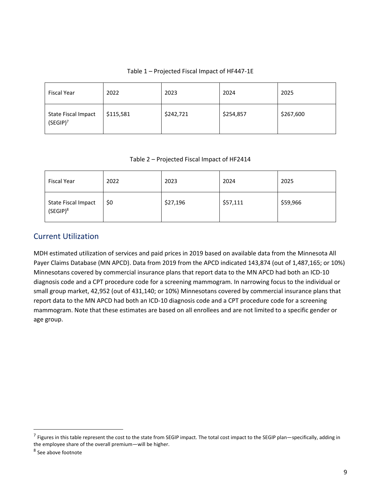#### Table 1 – Projected Fiscal Impact of HF447-1E

| <b>Fiscal Year</b>                 | 2022      | 2023      | 2024      | 2025      |
|------------------------------------|-----------|-----------|-----------|-----------|
| State Fiscal Impact<br>$(SEGIP)^7$ | \$115,581 | \$242,721 | \$254,857 | \$267,600 |

#### Table 2 – Projected Fiscal Impact of HF2414

| <b>Fiscal Year</b>                 | 2022 | 2023     | 2024     | 2025     |
|------------------------------------|------|----------|----------|----------|
| State Fiscal Impact<br>$(SEGIP)^8$ | \$0  | \$27,196 | \$57,111 | \$59,966 |

### <span id="page-8-0"></span>Current Utilization

MDH estimated utilization of services and paid prices in 2019 based on available data from the Minnesota All Payer Claims Database (MN APCD). Data from 2019 from the APCD indicated 143,874 (out of 1,487,165; or 10%) Minnesotans covered by commercial insurance plans that report data to the MN APCD had both an ICD-10 diagnosis code and a CPT procedure code for a screening mammogram. In narrowing focus to the individual or small group market, 42,952 (out of 431,140; or 10%) Minnesotans covered by commercial insurance plans that report data to the MN APCD had both an ICD-10 diagnosis code and a CPT procedure code for a screening mammogram. Note that these estimates are based on all enrollees and are not limited to a specific gender or age group.

 $^7$  Figures in this table represent the cost to the state from SEGIP impact. The total cost impact to the SEGIP plan—specifically, adding in the employee share of the overall premium—will be higher.

<sup>&</sup>lt;sup>8</sup> See above footnote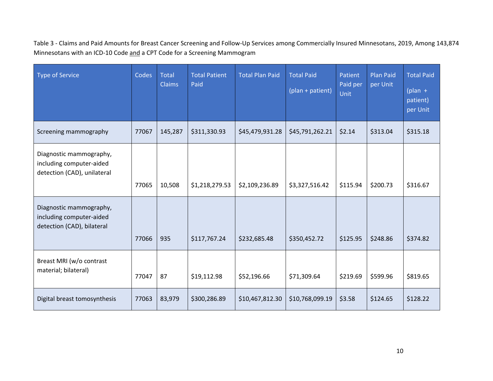Table 3 - Claims and Paid Amounts for Breast Cancer Screening and Follow-Up Services among Commercially Insured Minnesotans, 2019, Among 143,874 Minnesotans with an ICD-10 Code and a CPT Code for a Screening Mammogram

| <b>Type of Service</b>                                                             | Codes | <b>Total</b><br><b>Claims</b> | <b>Total Patient</b><br>Paid | <b>Total Plan Paid</b> | <b>Total Paid</b><br>(plan + patient) | Patient<br>Paid per<br>Unit | <b>Plan Paid</b><br>per Unit | <b>Total Paid</b><br>$(plan +$<br>patient)<br>per Unit |
|------------------------------------------------------------------------------------|-------|-------------------------------|------------------------------|------------------------|---------------------------------------|-----------------------------|------------------------------|--------------------------------------------------------|
| Screening mammography                                                              | 77067 | 145,287                       | \$311,330.93                 | \$45,479,931.28        | \$45,791,262.21                       | \$2.14                      | \$313.04                     | \$315.18                                               |
| Diagnostic mammography,<br>including computer-aided<br>detection (CAD), unilateral | 77065 | 10,508                        | \$1,218,279.53               | \$2,109,236.89         | \$3,327,516.42                        | \$115.94                    | \$200.73                     | \$316.67                                               |
| Diagnostic mammography,<br>including computer-aided<br>detection (CAD), bilateral  | 77066 | 935                           | \$117,767.24                 | \$232,685.48           | \$350,452.72                          | \$125.95                    | \$248.86                     | \$374.82                                               |
| Breast MRI (w/o contrast<br>material; bilateral)                                   | 77047 | 87                            | \$19,112.98                  | \$52,196.66            | \$71,309.64                           | \$219.69                    | \$599.96                     | \$819.65                                               |
| Digital breast tomosynthesis                                                       | 77063 | 83,979                        | \$300,286.89                 | \$10,467,812.30        | \$10,768,099.19                       | \$3.58                      | \$124.65                     | \$128.22                                               |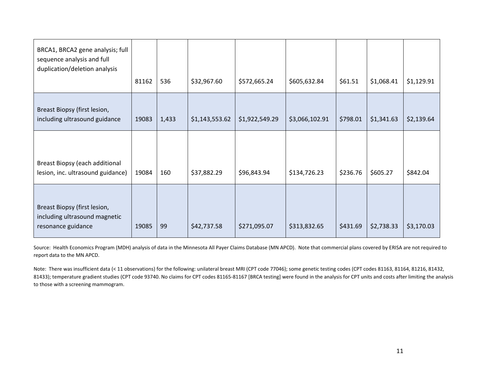| BRCA1, BRCA2 gene analysis; full<br>sequence analysis and full<br>duplication/deletion analysis | 81162 | 536   | \$32,967.60    | \$572,665.24   | \$605,632.84   | \$61.51  | \$1,068.41 | \$1,129.91 |
|-------------------------------------------------------------------------------------------------|-------|-------|----------------|----------------|----------------|----------|------------|------------|
| Breast Biopsy (first lesion,<br>including ultrasound guidance                                   | 19083 | 1,433 | \$1,143,553.62 | \$1,922,549.29 | \$3,066,102.91 | \$798.01 | \$1,341.63 | \$2,139.64 |
| Breast Biopsy (each additional<br>lesion, inc. ultrasound guidance)                             | 19084 | 160   | \$37,882.29    | \$96,843.94    | \$134,726.23   | \$236.76 | \$605.27   | \$842.04   |
| Breast Biopsy (first lesion,<br>including ultrasound magnetic<br>resonance guidance             | 19085 | 99    | \$42,737.58    | \$271,095.07   | \$313,832.65   | \$431.69 | \$2,738.33 | \$3,170.03 |

Source: Health Economics Program (MDH) analysis of data in the Minnesota All Payer Claims Database (MN APCD). Note that commercial plans covered by ERISA are not required to report data to the MN APCD.

Note: There was insufficient data (< 11 observations) for the following: unilateral breast MRI (CPT code 77046); some genetic testing codes (CPT codes 81163, 81164, 81216, 81432, 81433); temperature gradient studies (CPT code 93740. No claims for CPT codes 81165-81167 [BRCA testing] were found in the analysis for CPT units and costs after limiting the analysis to those with a screening mammogram.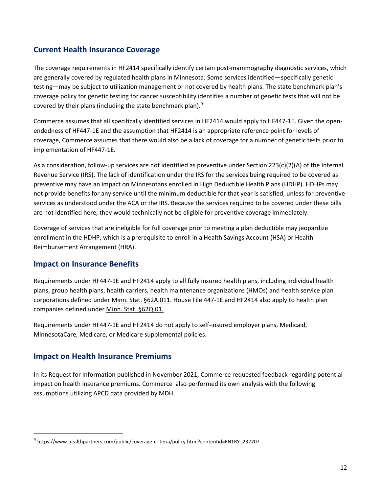### <span id="page-11-0"></span>**Current Health Insurance Coverage**

The coverage requirements in HF2414 specifically identify certain post-mammography diagnostic services, which are generally covered by regulated health plans in Minnesota. Some services identified—specifically genetic testing—may be subject to utilization management or not covered by health plans. The state benchmark plan's coverage policy for genetic testing for cancer susceptibility identifies a number of genetic tests that will not be covered by their plans (including the state benchmark plan).<sup>9</sup>

Commerce assumes that all specifically identified services in HF2414 would apply to HF447-1E. Given the openendedness of HF447-1E and the assumption that HF2414 is an appropriate reference point for levels of coverage, Commerce assumes that there would also be a lack of coverage for a number of genetic tests prior to implementation of HF447-1E.

As a consideration, follow-up services are not identified as preventive under Section 223(c)(2)(A) of the Internal Revenue Service (IRS). The lack of identification under the IRS for the services being required to be covered as preventive may have an impact on Minnesotans enrolled in High Deductible Health Plans (HDHP). HDHPs may not provide benefits for any service until the minimum deductible for that year is satisfied, unless for preventive services as understood under the ACA or the IRS. Because the services required to be covered under these bills are not identified here, they would technically not be eligible for preventive coverage immediately.

Coverage of services that are ineligible for full coverage prior to meeting a plan deductible may jeopardize enrollment in the HDHP, which is a prerequisite to enroll in a Health Savings Account (HSA) or Health Reimbursement Arrangement (HRA).

#### **Impact on Insurance Benefits**

Requirements under HF447-1E and HF2414 apply to all fully insured health plans, including individual health plans, group health plans, health carriers, health maintenance organizations (HMOs) and health service plan corporations defined under [Minn. Stat. §62A.011.](https://www.revisor.mn.gov/statutes/cite/62A.011) House File 447-1E and HF2414 also apply to health plan companies defined unde[r Minn. Stat. §62Q.01.](https://www.revisor.mn.gov/statutes/cite/62Q.01)

Requirements under HF447-1E and HF2414 do not apply to self-insured employer plans, Medicaid, MinnesotaCare, Medicare, or Medicare supplemental policies.

#### <span id="page-11-1"></span>**Impact on Health Insurance Premiums**

In its Request for Information published in November 2021, Commerce requested feedback regarding potential impact on health insurance premiums. Commerce also performed its own analysis with the following assumptions utilizing APCD data provided by MDH.

<sup>&</sup>lt;sup>9</sup> https://www.healthpartners.com/public/coverage-criteria/policy.html?contentid=ENTRY\_232707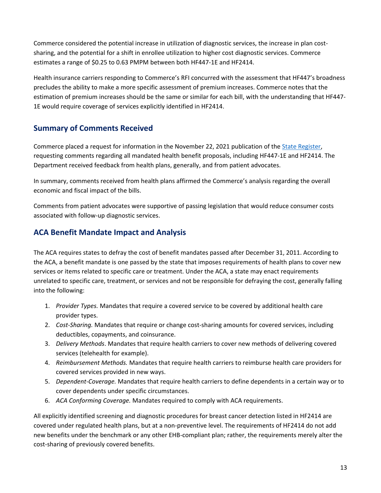Commerce considered the potential increase in utilization of diagnostic services, the increase in plan costsharing, and the potential for a shift in enrollee utilization to higher cost diagnostic services. Commerce estimates a range of \$0.25 to 0.63 PMPM between both HF447-1E and HF2414.

Health insurance carriers responding to Commerce's RFI concurred with the assessment that HF447's broadness precludes the ability to make a more specific assessment of premium increases. Commerce notes that the estimation of premium increases should be the same or similar for each bill, with the understanding that HF447- 1E would require coverage of services explicitly identified in HF2414.

## <span id="page-12-0"></span>**Summary of Comments Received**

Commerce placed a request for information in the November 22, 2021 publication of the [State Register,](https://mn.gov/admin/assets/SR46_21%20-%20Accessible_tcm36-509638.pdf) requesting comments regarding all mandated health benefit proposals, including HF447-1E and HF2414. The Department received feedback from health plans, generally, and from patient advocates.

In summary, comments received from health plans affirmed the Commerce's analysis regarding the overall economic and fiscal impact of the bills.

Comments from patient advocates were supportive of passing legislation that would reduce consumer costs associated with follow-up diagnostic services.

### <span id="page-12-1"></span>**ACA Benefit Mandate Impact and Analysis**

The ACA requires states to defray the cost of benefit mandates passed after December 31, 2011. According to the ACA, a benefit mandate is one passed by the state that imposes requirements of health plans to cover new services or items related to specific care or treatment. Under the ACA, a state may enact requirements unrelated to specific care, treatment, or services and not be responsible for defraying the cost, generally falling into the following:

- 1. *Provider Types.* Mandates that require a covered service to be covered by additional health care provider types.
- 2. *Cost-Sharing.* Mandates that require or change cost-sharing amounts for covered services, including deductibles, copayments, and coinsurance.
- 3. *Delivery Methods*. Mandates that require health carriers to cover new methods of delivering covered services (telehealth for example).
- 4. *Reimbursement Methods.* Mandates that require health carriers to reimburse health care providers for covered services provided in new ways.
- 5. *Dependent-Coverage.* Mandates that require health carriers to define dependents in a certain way or to cover dependents under specific circumstances.
- 6. *ACA Conforming Coverage.* Mandates required to comply with ACA requirements.

All explicitly identified screening and diagnostic procedures for breast cancer detection listed in HF2414 are covered under regulated health plans, but at a non-preventive level. The requirements of HF2414 do not add new benefits under the benchmark or any other EHB-compliant plan; rather, the requirements merely alter the cost-sharing of previously covered benefits.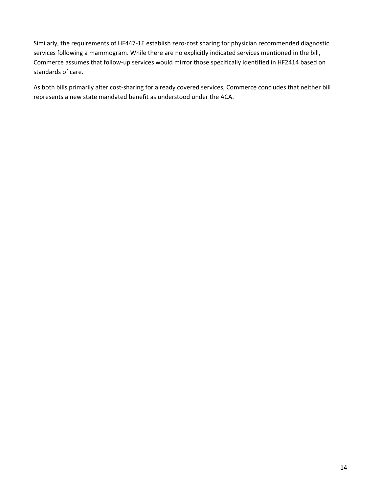Similarly, the requirements of HF447-1E establish zero-cost sharing for physician recommended diagnostic services following a mammogram. While there are no explicitly indicated services mentioned in the bill, Commerce assumes that follow-up services would mirror those specifically identified in HF2414 based on standards of care.

As both bills primarily alter cost-sharing for already covered services, Commerce concludes that neither bill represents a new state mandated benefit as understood under the ACA.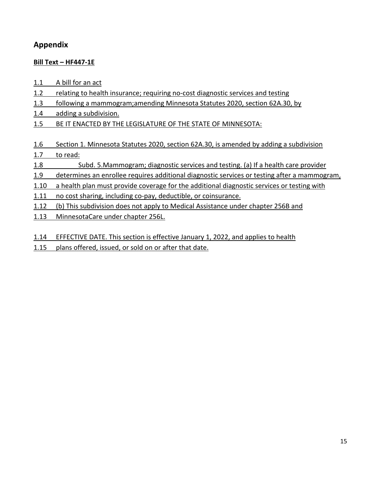## **Appendix**

#### **Bill Text – HF447-1E**

- 1.1 A bill for an act
- 1.2 relating to health insurance; requiring no-cost diagnostic services and testing
- 1.3 following a mammogram;amending Minnesota Statutes 2020, section 62A.30, by
- 1.4 adding a subdivision.
- 1.5 BE IT ENACTED BY THE LEGISLATURE OF THE STATE OF MINNESOTA:
- 1.6 Section 1. Minnesota Statutes 2020, section 62A.30, is amended by adding a subdivision

#### 1.7 to read:

- 1.8 Subd. 5.Mammogram; diagnostic services and testing. (a) If a health care provider
- 1.9 determines an enrollee requires additional diagnostic services or testing after a mammogram,
- 1.10 a health plan must provide coverage for the additional diagnostic services or testing with
- 1.11 no cost sharing, including co-pay, deductible, or coinsurance.
- 1.12 (b) This subdivision does not apply to Medical Assistance under chapter 256B and
- 1.13 MinnesotaCare under chapter 256L.
- 1.14 EFFECTIVE DATE. This section is effective January 1, 2022, and applies to health
- 1.15 plans offered, issued, or sold on or after that date.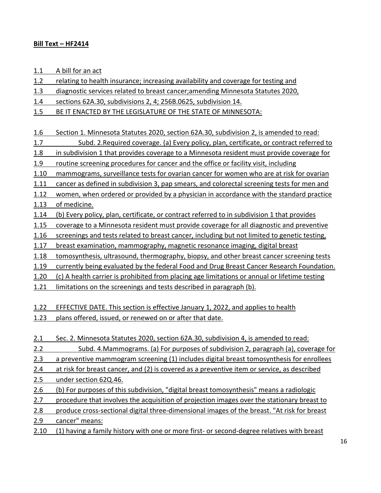#### **Bill Text – HF2414**

1.1 A bill for an act

1.2 relating to health insurance; increasing availability and coverage for testing and

1.3 diagnostic services related to breast cancer;amending Minnesota Statutes 2020,

1.4 sections 62A.30, subdivisions 2, 4; 256B.0625, subdivision 14.

1.5 BE IT ENACTED BY THE LEGISLATURE OF THE STATE OF MINNESOTA:

1.6 Section 1. Minnesota Statutes 2020, section 62A.30, subdivision 2, is amended to read:

1.7 Subd. 2.Required coverage. (a) Every policy, plan, certificate, or contract referred to

1.8 in subdivision 1 that provides coverage to a Minnesota resident must provide coverage for

1.9 routine screening procedures for cancer and the office or facility visit, including

1.10 mammograms, surveillance tests for ovarian cancer for women who are at risk for ovarian

1.11 cancer as defined in subdivision 3, pap smears, and colorectal screening tests for men and

1.12 women, when ordered or provided by a physician in accordance with the standard practice

1.13 of medicine.

1.14 (b) Every policy, plan, certificate, or contract referred to in subdivision 1 that provides

1.15 coverage to a Minnesota resident must provide coverage for all diagnostic and preventive

1.16 screenings and tests related to breast cancer, including but not limited to genetic testing,

1.17 breast examination, mammography, magnetic resonance imaging, digital breast

1.18 tomosynthesis, ultrasound, thermography, biopsy, and other breast cancer screening tests

1.19 currently being evaluated by the federal Food and Drug Breast Cancer Research Foundation.

1.20 (c) A health carrier is prohibited from placing age limitations or annual or lifetime testing

1.21 limitations on the screenings and tests described in paragraph (b).

1.22 EFFECTIVE DATE. This section is effective January 1, 2022, and applies to health

1.23 plans offered, issued, or renewed on or after that date.

2.1 Sec. 2. Minnesota Statutes 2020, section 62A.30, subdivision 4, is amended to read:

2.2 Subd. 4.Mammograms. (a) For purposes of subdivision 2, paragraph (a), coverage for

2.3 a preventive mammogram screening (1) includes digital breast tomosynthesis for enrollees

2.4 at risk for breast cancer, and (2) is covered as a preventive item or service, as described 2.5 under section 62Q.46.

2.6 (b) For purposes of this subdivision, "digital breast tomosynthesis" means a radiologic

2.7 procedure that involves the acquisition of projection images over the stationary breast to

2.8 produce cross-sectional digital three-dimensional images of the breast. "At risk for breast

2.9 cancer" means:

2.10 (1) having a family history with one or more first- or second-degree relatives with breast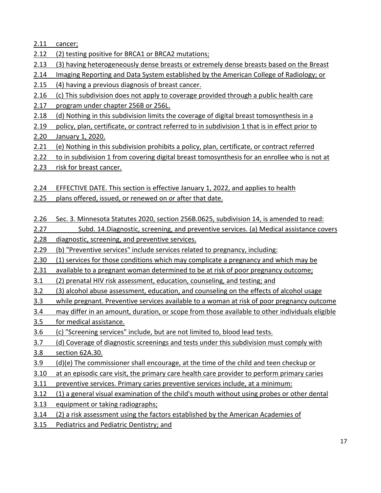2.11 cancer;

- 2.12 (2) testing positive for BRCA1 or BRCA2 mutations;
- 2.13 (3) having heterogeneously dense breasts or extremely dense breasts based on the Breast
- 2.14 Imaging Reporting and Data System established by the American College of Radiology; or
- 2.15 (4) having a previous diagnosis of breast cancer.
- 2.16 (c) This subdivision does not apply to coverage provided through a public health care
- 2.17 program under chapter 256B or 256L.
- 2.18 (d) Nothing in this subdivision limits the coverage of digital breast tomosynthesis in a
- 2.19 policy, plan, certificate, or contract referred to in subdivision 1 that is in effect prior to

### 2.20 January 1, 2020.

- 2.21 (e) Nothing in this subdivision prohibits a policy, plan, certificate, or contract referred
- 2.22 to in subdivision 1 from covering digital breast tomosynthesis for an enrollee who is not at
- 2.23 risk for breast cancer.

## 2.24 EFFECTIVE DATE. This section is effective January 1, 2022, and applies to health

- 2.25 plans offered, issued, or renewed on or after that date.
- 2.26 Sec. 3. Minnesota Statutes 2020, section 256B.0625, subdivision 14, is amended to read:
- 2.27 Subd. 14. Diagnostic, screening, and preventive services. (a) Medical assistance covers
- 2.28 diagnostic, screening, and preventive services.
- 2.29 (b) "Preventive services" include services related to pregnancy, including:
- 2.30 (1) services for those conditions which may complicate a pregnancy and which may be
- 2.31 available to a pregnant woman determined to be at risk of poor pregnancy outcome;
- 3.1 (2) prenatal HIV risk assessment, education, counseling, and testing; and
- 3.2 (3) alcohol abuse assessment, education, and counseling on the effects of alcohol usage
- 3.3 while pregnant. Preventive services available to a woman at risk of poor pregnancy outcome
- 3.4 may differ in an amount, duration, or scope from those available to other individuals eligible
- 3.5 for medical assistance.
- 3.6 (c) "Screening services" include, but are not limited to, blood lead tests.
- 3.7 (d) Coverage of diagnostic screenings and tests under this subdivision must comply with
- 3.8 section 62A.30.
- 3.9 (d)(e) The commissioner shall encourage, at the time of the child and teen checkup or
- 3.10 at an episodic care visit, the primary care health care provider to perform primary caries
- 3.11 preventive services. Primary caries preventive services include, at a minimum:
- 3.12 (1) a general visual examination of the child's mouth without using probes or other dental
- 3.13 equipment or taking radiographs;
- 3.14 (2) a risk assessment using the factors established by the American Academies of
- 3.15 Pediatrics and Pediatric Dentistry; and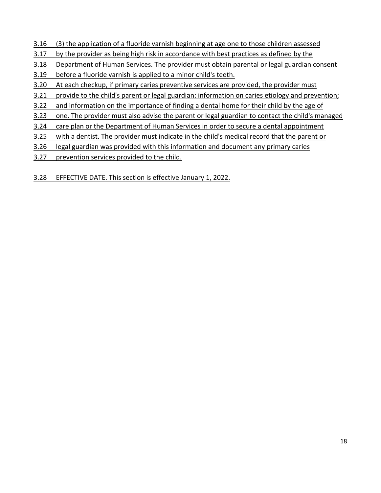- 3.16 (3) the application of a fluoride varnish beginning at age one to those children assessed
- 3.17 by the provider as being high risk in accordance with best practices as defined by the
- 3.18 Department of Human Services. The provider must obtain parental or legal guardian consent
- 3.19 before a fluoride varnish is applied to a minor child's teeth.
- 3.20 At each checkup, if primary caries preventive services are provided, the provider must
- 3.21 provide to the child's parent or legal guardian: information on caries etiology and prevention;
- 3.22 and information on the importance of finding a dental home for their child by the age of
- 3.23 one. The provider must also advise the parent or legal guardian to contact the child's managed
- 3.24 care plan or the Department of Human Services in order to secure a dental appointment
- 3.25 with a dentist. The provider must indicate in the child's medical record that the parent or
- 3.26 legal guardian was provided with this information and document any primary caries
- 3.27 prevention services provided to the child.
- 3.28 EFFECTIVE DATE. This section is effective January 1, 2022.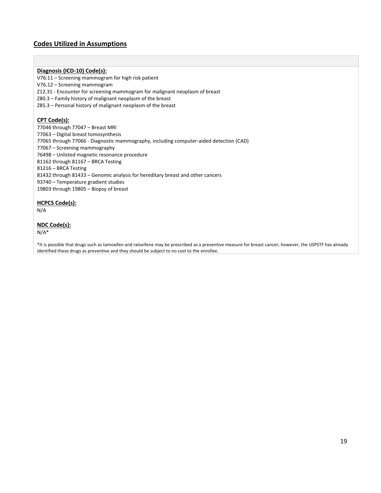#### **Codes Utilized in Assumptions**

#### **Diagnosis (ICD-10) Code(s):**

V76.11 – Screening mammogram for high risk patient

V76.12 – Screening mammogram

Z12.31 - Encounter for screening mammogram for malignant neoplasm of breast

Z80.3 – Family history of malignant neoplasm of the breast

Z85.3 – Personal history of malignant neoplasm of the breast

#### **CPT Code(s):**

77046 through 77047 – Breast MRI – Digital breast tomosynthesis 77065 through 77066 - Diagnostic mammography, including computer-aided detection (CAD) – Screening mammography – Unlisted magnetic resonance procedure through 81167 – BRCA Testing – BRCA Testing through 81433 – Genomic analysis for hereditary breast and other cancers – Temperature gradient studies 19803 through 19805 – Biopsy of breast

#### **HCPCS Code(s):**

N/A

#### **NDC Code(s):**

N/A\*

\*It is possible that drugs such as tamoxifen and raloxifene may be prescribed as a preventive measure for breast cancer; however, the USPSTF has already identified these drugs as preventive and they should be subject to no cost to the enrollee.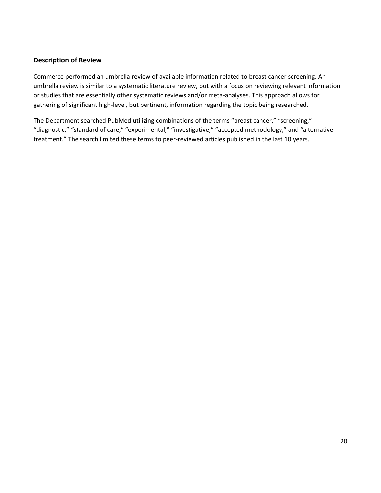#### **Description of Review**

Commerce performed an umbrella review of available information related to breast cancer screening. An umbrella review is similar to a systematic literature review, but with a focus on reviewing relevant information or studies that are essentially other systematic reviews and/or meta-analyses. This approach allows for gathering of significant high-level, but pertinent, information regarding the topic being researched.

The Department searched PubMed utilizing combinations of the terms "breast cancer," "screening," "diagnostic," "standard of care," "experimental," "investigative," "accepted methodology," and "alternative treatment." The search limited these terms to peer-reviewed articles published in the last 10 years.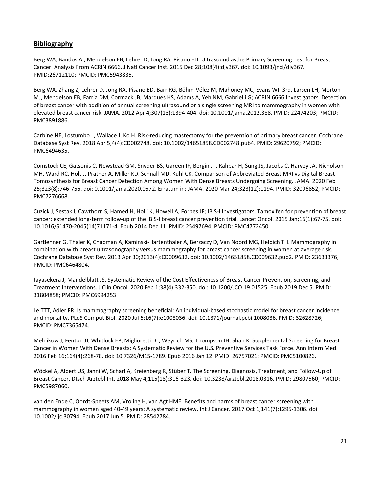#### **Bibliography**

Berg WA, Bandos AI, Mendelson EB, Lehrer D, Jong RA, Pisano ED. Ultrasound asthe Primary Screening Test for Breast Cancer: Analysis From ACRIN 6666. J Natl Cancer Inst. 2015 Dec 28;108(4):djv367. doi: 10.1093/jnci/djv367. PMID:26712110; PMCID: PMC5943835.

Berg WA, Zhang Z, Lehrer D, Jong RA, Pisano ED, Barr RG, Böhm-Vélez M, Mahoney MC, Evans WP 3rd, Larsen LH, Morton MJ, Mendelson EB, Farria DM, Cormack JB, Marques HS, Adams A, Yeh NM, Gabrielli G; ACRIN 6666 Investigators. Detection of breast cancer with addition of annual screening ultrasound or a single screening MRI to mammography in women with elevated breast cancer risk. JAMA. 2012 Apr 4;307(13):1394-404. doi: 10.1001/jama.2012.388. PMID: 22474203; PMCID: PMC3891886.

Carbine NE, Lostumbo L, Wallace J, Ko H. Risk-reducing mastectomy for the prevention of primary breast cancer. Cochrane Database Syst Rev. 2018 Apr 5;4(4):CD002748. doi: 10.1002/14651858.CD002748.pub4. PMID: 29620792; PMCID: PMC6494635.

Comstock CE, Gatsonis C, Newstead GM, Snyder BS, Gareen IF, Bergin JT, Rahbar H, Sung JS, Jacobs C, Harvey JA, Nicholson MH, Ward RC, Holt J, Prather A, Miller KD, Schnall MD, Kuhl CK. Comparison of Abbreviated Breast MRI vs Digital Breast Tomosynthesis for Breast Cancer Detection Among Women With Dense Breasts Undergoing Screening. JAMA. 2020 Feb 25;323(8):746-756. doi: 0.1001/jama.2020.0572. Erratum in: JAMA. 2020 Mar 24;323(12):1194. PMID: 32096852; PMCID: PMC7276668.

Cuzick J, Sestak I, Cawthorn S, Hamed H, Holli K, Howell A, Forbes JF; IBIS-I Investigators. Tamoxifen for prevention of breast cancer: extended long-term follow-up of the IBIS-I breast cancer prevention trial. Lancet Oncol. 2015 Jan;16(1):67-75. doi: 10.1016/S1470-2045(14)71171-4. Epub 2014 Dec 11. PMID: 25497694; PMCID: PMC4772450.

Gartlehner G, Thaler K, Chapman A, Kaminski-Hartenthaler A, Berzaczy D, Van Noord MG, Helbich TH. Mammography in combination with breast ultrasonography versus mammography for breast cancer screening in women at average risk. Cochrane Database Syst Rev. 2013 Apr 30;2013(4):CD009632. doi: 10.1002/14651858.CD009632.pub2. PMID: 23633376; PMCID: PMC6464804.

Jayasekera J, Mandelblatt JS. Systematic Review of the Cost Effectiveness of Breast Cancer Prevention, Screening, and Treatment Interventions. J Clin Oncol. 2020 Feb 1;38(4):332-350. doi: 10.1200/JCO.19.01525. Epub 2019 Dec 5. PMID: 31804858; PMCID: PMC6994253

Le TTT, Adler FR. Is mammography screening beneficial: An individual-based stochastic model for breast cancer incidence and mortality. PLoS Comput Biol. 2020 Jul 6;16(7):e1008036. doi: 10.1371/journal.pcbi.1008036. PMID: 32628726; PMCID: PMC7365474.

Melnikow J, Fenton JJ, Whitlock EP, Miglioretti DL, Weyrich MS, Thompson JH, Shah K. Supplemental Screening for Breast Cancer in Women With Dense Breasts: A Systematic Review for the U.S. Preventive Services Task Force. Ann Intern Med. 2016 Feb 16;164(4):268-78. doi: 10.7326/M15-1789. Epub 2016 Jan 12. PMID: 26757021; PMCID: PMC5100826.

Wöckel A, Albert US, Janni W, Scharl A, Kreienberg R, Stüber T. The Screening, Diagnosis, Treatment, and Follow-Up of Breast Cancer. Dtsch Arztebl Int. 2018 May 4;115(18):316-323. doi: 10.3238/arztebl.2018.0316. PMID: 29807560; PMCID: PMC5987060.

van den Ende C, Oordt-Speets AM, Vroling H, van Agt HME. Benefits and harms of breast cancer screening with mammography in women aged 40-49 years: A systematic review. Int J Cancer. 2017 Oct 1;141(7):1295-1306. doi: 10.1002/ijc.30794. Epub 2017 Jun 5. PMID: 28542784.